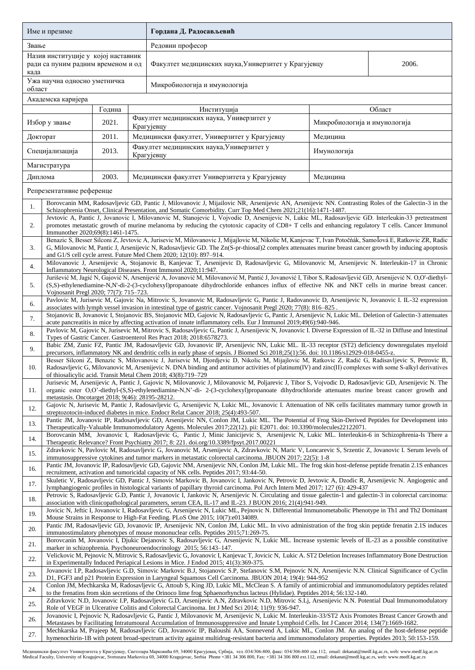| Име и презиме                                                                     |                                                                                                                                                                                                                                                                                                                                                                                                                                         |                                                                                                                                                                                                                                                                                      |             | Гордана Д. Радосављевић                                                                                                                              |                              |  |  |  |  |  |
|-----------------------------------------------------------------------------------|-----------------------------------------------------------------------------------------------------------------------------------------------------------------------------------------------------------------------------------------------------------------------------------------------------------------------------------------------------------------------------------------------------------------------------------------|--------------------------------------------------------------------------------------------------------------------------------------------------------------------------------------------------------------------------------------------------------------------------------------|-------------|------------------------------------------------------------------------------------------------------------------------------------------------------|------------------------------|--|--|--|--|--|
| Звање                                                                             |                                                                                                                                                                                                                                                                                                                                                                                                                                         |                                                                                                                                                                                                                                                                                      |             | Редовни професор                                                                                                                                     |                              |  |  |  |  |  |
| Назив институције у којој наставник<br>ради са пуним радним временом и од<br>када |                                                                                                                                                                                                                                                                                                                                                                                                                                         |                                                                                                                                                                                                                                                                                      |             | Факултет медицинских наука, Универзитет у Крагујевцу                                                                                                 | 2006.                        |  |  |  |  |  |
| Ужа научна односно уметничка<br>област                                            |                                                                                                                                                                                                                                                                                                                                                                                                                                         |                                                                                                                                                                                                                                                                                      |             | Микробиологија и имунологија                                                                                                                         |                              |  |  |  |  |  |
| Академска каријера                                                                |                                                                                                                                                                                                                                                                                                                                                                                                                                         |                                                                                                                                                                                                                                                                                      |             |                                                                                                                                                      |                              |  |  |  |  |  |
| Година                                                                            |                                                                                                                                                                                                                                                                                                                                                                                                                                         |                                                                                                                                                                                                                                                                                      | Институција | Област                                                                                                                                               |                              |  |  |  |  |  |
| Избор у звање                                                                     |                                                                                                                                                                                                                                                                                                                                                                                                                                         | 2021.                                                                                                                                                                                                                                                                                |             | Факултет медицинских наука, Универзитет у<br>Крагујевцу                                                                                              | Микробиологија и имунологија |  |  |  |  |  |
| Докторат                                                                          |                                                                                                                                                                                                                                                                                                                                                                                                                                         | 2011.                                                                                                                                                                                                                                                                                |             | Медицински факултет, Универзитет у Крагујевцу                                                                                                        | Медицина                     |  |  |  |  |  |
| Специјализација                                                                   |                                                                                                                                                                                                                                                                                                                                                                                                                                         | 2013.                                                                                                                                                                                                                                                                                |             | Факултет медицинских наука, Универзитет у<br>Крагујевцу                                                                                              | Имунологија                  |  |  |  |  |  |
| Магистратура                                                                      |                                                                                                                                                                                                                                                                                                                                                                                                                                         |                                                                                                                                                                                                                                                                                      |             |                                                                                                                                                      |                              |  |  |  |  |  |
| Диплома                                                                           |                                                                                                                                                                                                                                                                                                                                                                                                                                         | 2003.                                                                                                                                                                                                                                                                                |             | Медицински факултет Универзитета у Крагујевцу                                                                                                        | Медицина                     |  |  |  |  |  |
|                                                                                   | Репрезентативне референце                                                                                                                                                                                                                                                                                                                                                                                                               |                                                                                                                                                                                                                                                                                      |             |                                                                                                                                                      |                              |  |  |  |  |  |
| 1.                                                                                | Borovcanin MM, Radosavljevic GD, Pantic J, Milovanovic J, Mijailovic NR, Arsenijevic AN, Arsenijevic NN. Contrasting Roles of the Galectin-3 in the<br>Schizophrenia Onset, Clinical Presentation, and Somatic Comorbidity. Curr Top Med Chem 2021;21(16):1471-1487.<br>Jevtovic A, Pantic J, Jovanovic I, Milovanovic M, Stanojevic I, Vojvodic D, Arsenijevic N, Lukic ML, Radosavljevic GD. Interleukin-33 pretreatment              |                                                                                                                                                                                                                                                                                      |             |                                                                                                                                                      |                              |  |  |  |  |  |
| 2.                                                                                | promotes metastatic growth of murine melanoma by reducing the cytotoxic capacity of CD8+ T cells and enhancing regulatory T cells. Cancer Immunol<br>Immunother 2020;69(8):1461-1475.<br>Benazic S, Besser Silconi Z, Jevtovic A, Jurisevic M, Milovanovic J, Mijajlovic M, Nikolic M, Kanjevac T, Ivan Potočnák, Samolová E, Ratkovic ZR, Radic                                                                                        |                                                                                                                                                                                                                                                                                      |             |                                                                                                                                                      |                              |  |  |  |  |  |
| 3.                                                                                | G, Milovanovic M, Pantic J, Arsenijevic N, Radosavljevic GD. The Zn(S-pr-thiosal)2 complex attenuates murine breast cancer growth by inducing apoptosis<br>and G1/S cell cycle arrest. Future Med Chem 2020; 12(10): 897-914.<br>Milovanovic J, Arsenijevic A, Stojanovic B, Kanjevac T, Arsenijevic D, Radosavljevic G, Milovanovic M, Arsenijevic N. Interleukin-17 in Chronic                                                        |                                                                                                                                                                                                                                                                                      |             |                                                                                                                                                      |                              |  |  |  |  |  |
| 4.                                                                                |                                                                                                                                                                                                                                                                                                                                                                                                                                         |                                                                                                                                                                                                                                                                                      |             | Inflammatory Neurological Diseases. Front Immunol 2020;11:947.                                                                                       |                              |  |  |  |  |  |
| 5.                                                                                | Jurišević M, Jagić N, Gajović N, Arsenijević A, Jovanović M, Milovanović M, Pantić J, Jovanović I, Tibor S, Radosavljević GD, Arsenijević N. O,O'-diethyl-<br>(S,S)-ethylenediamine-N,N'-di-2-(3-cyclohexyl)propanoate dihydrochloride enhances influx of effective NK and NKT cells in murine breast cancer.<br>Vojnosanit Pregl 2020; 77(7): 715-723.                                                                                 |                                                                                                                                                                                                                                                                                      |             |                                                                                                                                                      |                              |  |  |  |  |  |
| 6.                                                                                | Pavlovic M, Jurisevic M, Gajovic Na, Mitrovic S, Jovanovic M, Radosavljevic G, Pantic J, Radovanovic D, Arsenijevic N, Jovanovic I. IL-32 expression<br>associates with lymph vessel invasion in intestinal type of gastric cancer. Vojnosanit Pregl 2020; 77(8): 816-825.<br>Stojanovic B, Jovanovic I, Stojanovic BS, Stojanovic MD, Gajovic N, Radosavljevic G, Pantic J, Arsenijevic N, Lukic ML. Deletion of Galectin-3 attenuates |                                                                                                                                                                                                                                                                                      |             |                                                                                                                                                      |                              |  |  |  |  |  |
| 7.                                                                                |                                                                                                                                                                                                                                                                                                                                                                                                                                         |                                                                                                                                                                                                                                                                                      |             |                                                                                                                                                      |                              |  |  |  |  |  |
| 8.                                                                                | acute pancreatitis in mice by affecting activation of innate inflammatory cells. Eur J Immunol 2019;49(6):940-946.<br>Pavlovic M, Gajovic N, Jurisevic M, Mitrovic S, Radosavljevic G, Pantic J, Arsenijevic N, Jovanovic I. Diverse Expression of IL-32 in Diffuse and Intestinal<br>Types of Gastric Cancer. Gastroenterol Res Pract 2018; 2018:6578273.                                                                              |                                                                                                                                                                                                                                                                                      |             |                                                                                                                                                      |                              |  |  |  |  |  |
| 9.                                                                                | Babic ZM, Zunic FZ, Pantic JM, Radosavljevic GD, Jovanovic IP, Arsenijevic NN, Lukic ML. IL-33 receptor (ST2) deficiency downregulates myeloid<br>precursors, inflammatory NK and dendritic cells in early phase of sepsis. J Biomed Sci 2018;25(1):56. doi: 10.1186/s12929-018-0455-z.                                                                                                                                                 |                                                                                                                                                                                                                                                                                      |             |                                                                                                                                                      |                              |  |  |  |  |  |
| 10.                                                                               | Besser Silconi Z, Benazic S, Milovanovic J, Jurisevic M, Djordjevic D, Nikolic M, Mijajlovic M, Ratkovic Z, Radić G, Radisavljevic S, Petrovic B,<br>Radosavljevic G, Milovanovic M, Arsenijevic N. DNA binding and antitumor activities of platinum(IV) and zinc(II) complexes with some S-alkyl derivatives<br>of thiosalicylic acid. Transit Metal Chem 2018; 43(8):719-729                                                          |                                                                                                                                                                                                                                                                                      |             |                                                                                                                                                      |                              |  |  |  |  |  |
| 11.                                                                               | Jurisevic M, Arsenijevic A, Pantic J, Gajovic N, Milovanovic J, Milovanovic M, Poljarevic J, Tibor S, Vojvodic D, Radosavljevic GD, Arsenijevic N. The<br>organic ester O,O'-diethyl-(S,S)-ethylenediamine-N,N'-di- 2-(3-cyclohexyl)propanoate dihydrochloride attenuates murine breast cancer growth and<br>metastasis. Oncotarget 2018; 9(46): 28195-28212.                                                                           |                                                                                                                                                                                                                                                                                      |             |                                                                                                                                                      |                              |  |  |  |  |  |
| 12.                                                                               | Gajovic N, Jurisevic M, Pantic J, Radosavljevic G, Arsenijevic N, Lukic ML, Jovanovic I. Attenuation of NK cells facilitates mammary tumor growth in<br>streptozotocin-induced diabetes in mice. Endocr Relat Cancer 2018; 25(4):493-507.                                                                                                                                                                                               |                                                                                                                                                                                                                                                                                      |             |                                                                                                                                                      |                              |  |  |  |  |  |
| 13.                                                                               | Pantic JM, Jovanovic IP, Radosavljevic GD, Arsenijevic NN, Conlon JM, Lukic ML. The Potential of Frog Skin-Derived Peptides for Development into<br>Therapeutically-Valuable Immunomodulatory Agents. Molecules 2017;22(12). pii: E2071. doi: 10.3390/molecules22122071.                                                                                                                                                                |                                                                                                                                                                                                                                                                                      |             |                                                                                                                                                      |                              |  |  |  |  |  |
| 14.                                                                               | Borovcanin MM, Jovanovic I, Radosavljevic G, Pantic J, Minic Janicijevic S, Arsenijevic N, Lukic ML. Interleukin-6 in Schizophrenia-Is There a<br>Therapeutic Relevance? Front Psychiatry 2017; 8: 221. doi.org/10.3389/fpsyt.2017.00221                                                                                                                                                                                                |                                                                                                                                                                                                                                                                                      |             |                                                                                                                                                      |                              |  |  |  |  |  |
| 15.                                                                               | Zdravkovic N, Pavlovic M, Radosavljevic G, Jovanovic M, Arsenijevic A, Zdravkovic N, Maric V, Loncarevic S, Srzentic Z, Jovanovic I. Serum levels of<br>immunosuppressive cytokines and tumor markers in metastatic colorectal carcinoma. JBUON 2017; 22(5): 1-8                                                                                                                                                                        |                                                                                                                                                                                                                                                                                      |             |                                                                                                                                                      |                              |  |  |  |  |  |
| 16.                                                                               |                                                                                                                                                                                                                                                                                                                                                                                                                                         | Pantic JM, Jovanovic IP, Radosavljevic GD, Gajovic NM, Arsenijevic NN, Conlon JM, Lukic ML. The frog skin host-defense peptide frenatin 2.1S enhances<br>recruitment, activation and tumoricidal capacity of NK cells. Peptides 2017; 93:44-50.                                      |             |                                                                                                                                                      |                              |  |  |  |  |  |
| 17.                                                                               |                                                                                                                                                                                                                                                                                                                                                                                                                                         | Skuletic V, Radosavljevic GD, Pantic J, Simovic Markovic B, Jovanovic I, Jankovic N, Petrovic D, Jevtovic A, Dzodic R, Arsenijevic N. Angiogenic and<br>lymphangiogenic profiles in histological variants of papillary thyroid carcinoma. Pol Arch Intern Med 2017; 127 (6): 429-437 |             |                                                                                                                                                      |                              |  |  |  |  |  |
| 18.                                                                               | Petrovic S, Radosavljevic G.D, Pantic J, Jovanovic I, Jankovic N, Arsenijevic N. Circulating and tissue galectin-1 and galectin-3 in colorectal carcinoma:<br>association with clinicopathological parameters, serum CEA, IL-17 and IL-23. J BUON 2016; 21(4):941-949.                                                                                                                                                                  |                                                                                                                                                                                                                                                                                      |             |                                                                                                                                                      |                              |  |  |  |  |  |
| 19.                                                                               | Jovicic N, Jeftic I, Jovanovic I, Radosavljevic G, Arsenijevic N, Lukic ML, Pejnovic N. Differential Immunometabolic Phenotype in Th1 and Th2 Dominant<br>Mouse Strains in Response to High-Fat Feeding. PLoS One 2015; 10(7):e0134089.                                                                                                                                                                                                 |                                                                                                                                                                                                                                                                                      |             |                                                                                                                                                      |                              |  |  |  |  |  |
| 20.                                                                               | Pantic JM, Radosavljevic GD, Jovanovic IP, Arsenijevic NN, Conlon JM, Lukic ML. In vivo administration of the frog skin peptide frenatin 2.1S induces<br>immunostimulatory phenotypes of mouse mononuclear cells. Peptides 2015;71:269-75.                                                                                                                                                                                              |                                                                                                                                                                                                                                                                                      |             |                                                                                                                                                      |                              |  |  |  |  |  |
| 21.                                                                               | Borovcanin M, Jovanovic I, Djukic Dejanovic S, Radosavljevic G, Arsenijevic N, Lukic ML. Increase systemic levels of IL-23 as a possible constitutive<br>marker in schizophrenia. Psychoneuroendocrinology 2015; 56:143-147.                                                                                                                                                                                                            |                                                                                                                                                                                                                                                                                      |             |                                                                                                                                                      |                              |  |  |  |  |  |
| 22.                                                                               | Velickovic M, Pejnovic N, Mitrovic S, Radosavljevic G, Jovanovic I, Kanjevac T, Jovicic N, Lukic A. ST2 Deletion Increases Inflammatory Bone Destruction<br>in Experimentally Induced Periapical Lesions in Mice. J Endod 2015; 41(3):369-375.                                                                                                                                                                                          |                                                                                                                                                                                                                                                                                      |             |                                                                                                                                                      |                              |  |  |  |  |  |
| 23.                                                                               | Jovanovic I.P, Radosavljevic G.D, Simovic Markovic B.J, Stojanovic S.P, Stefanovic S.M, Pejnovic N.N, Arsenijevic N.N. Clinical Significance of Cyclin<br>D1, FGF3 and p21 Protein Expression in Laryngeal Squamous Cell Carcinoma. JBUON 2014; 19(4): 944-952                                                                                                                                                                          |                                                                                                                                                                                                                                                                                      |             |                                                                                                                                                      |                              |  |  |  |  |  |
| 24.                                                                               | Conlon JM, Mechkarska M, Radosavljevic G, Attoub S, King JD, Lukic ML, McClean S. A family of antimicrobial and immunomodulatory peptides related<br>to the frenatins from skin secretions of the Orinoco lime frog Sphaenorhynchus lacteus (Hylidae). Peptides 2014; 56:132-140.                                                                                                                                                       |                                                                                                                                                                                                                                                                                      |             |                                                                                                                                                      |                              |  |  |  |  |  |
| 25.                                                                               | Zdravkovic N.D, Jovanovic I.P, Radosavljevic G.D, Arsenijevic A.N, Zdravkovic N.D, Mitrovic S.Lj, Arsenijevic N.N. Potential Dual Immunomodulatory<br>Role of VEGF in Ulcerative Colitis and Colorectal Carcinoma. Int J Med Sci 2014; 11(9): 936-947.<br>Jovanovic I, Pejnovic N, Radosavljevic G, Pantic J, Milovanovic M, Arsenijevic N, Lukic M. Interleukin-33/ST2 Axis Promotes Breast Cancer Growth and                          |                                                                                                                                                                                                                                                                                      |             |                                                                                                                                                      |                              |  |  |  |  |  |
| 26.                                                                               | Metastases by Facilitating Intratumoural Accumulation of Immunosuppressive and Innate Lymphoid Cells. Int J Cancer 2014; 134(7):1669-1682.<br>Mechkarska M, Prajeep M, Radosavljevic GD, Jovanovic IP, Baloushi AA, Sonnevend A, Lukic ML, Conlon JM. An analog of the host-defense peptide                                                                                                                                             |                                                                                                                                                                                                                                                                                      |             |                                                                                                                                                      |                              |  |  |  |  |  |
| 27.                                                                               |                                                                                                                                                                                                                                                                                                                                                                                                                                         |                                                                                                                                                                                                                                                                                      |             | hymenochirin-1B with potent broad-spectrum activity against multidrug-resistant bacteria and immunomodulatory properties. Peptides 2013; 50:153-159. |                              |  |  |  |  |  |